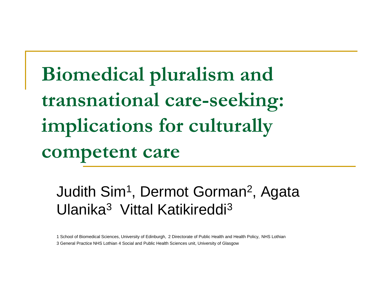### **Biomedical pluralism and transnational care-seeking: implications for culturally competent care**

Judith Sim<sup>1</sup>, Dermot Gorman<sup>2</sup>, Agata Ulanika<sup>3</sup> Vittal Katikireddi<sup>3</sup>

1 School of Biomedical Sciences, University of Edinburgh, 2 Directorate of Public Health and Health Policy, NHS Lothian 3 General Practice NHS Lothian 4 Social and Public Health Sciences unit, University of Glasgow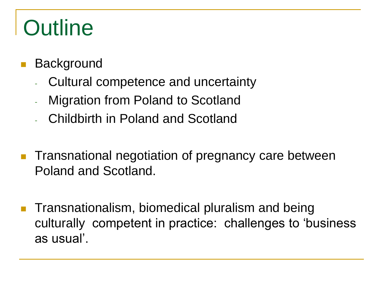# **Outline**

- **Background** 
	- Cultural competence and uncertainty
	- Migration from Poland to Scotland
	- Childbirth in Poland and Scotland
- **Transnational negotiation of pregnancy care between** Poland and Scotland.
- Transnationalism, biomedical pluralism and being culturally competent in practice: challenges to 'business as usual'.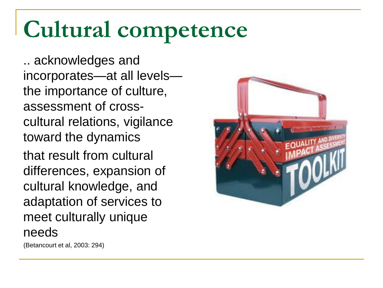# **Cultural competence**

.. acknowledges and incorporates—at all levels the importance of culture, assessment of crosscultural relations, vigilance toward the dynamics that result from cultural differences, expansion of

cultural knowledge, and

adaptation of services to

meet culturally unique

(Betancourt et al, 2003: 294)

needs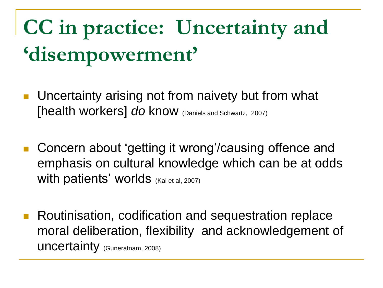# **CC in practice: Uncertainty and 'disempowerment'**

- Uncertainty arising not from naivety but from what [health workers] *do* know (Daniels and Schwartz, 2007)
- Concern about 'getting it wrong'/causing offence and emphasis on cultural knowledge which can be at odds With patients' worlds (Kai et al, 2007)
- **Routinisation, codification and sequestration replace** moral deliberation, flexibility and acknowledgement of uncertainty (Guneratnam, 2008)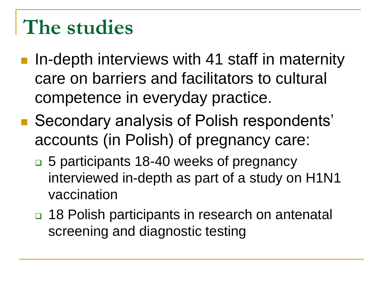### **The studies**

- **I.** In-depth interviews with 41 staff in maternity care on barriers and facilitators to cultural competence in everyday practice.
- Secondary analysis of Polish respondents' accounts (in Polish) of pregnancy care:
	- 5 participants 18-40 weeks of pregnancy interviewed in-depth as part of a study on H1N1 vaccination
	- □ 18 Polish participants in research on antenatal screening and diagnostic testing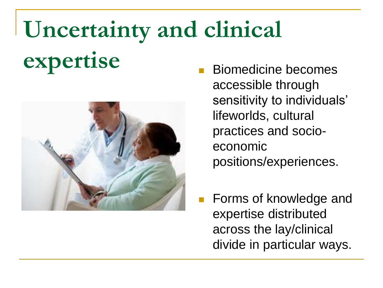# **Uncertainty and clinical**

# **expertise** Biomedicine becomes



- accessible through sensitivity to individuals' lifeworlds, cultural practices and socioeconomic positions/experiences.
- **Forms of knowledge and** expertise distributed across the lay/clinical divide in particular ways.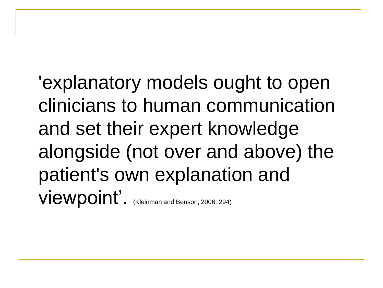'explanatory models ought to open clinicians to human communication and set their expert knowledge alongside (not over and above) the patient's own explanation and Viewpoint'. (Kleinman and Benson, 2006: 294)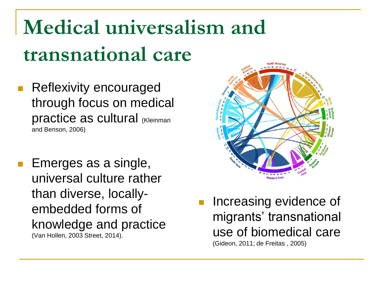# **Medical universalism and transnational care**

- Reflexivity encouraged through focus on medical practice as cultural (Kleinman and Benson, 2006)
- Emerges as a single, universal culture rather than diverse, locallyembedded forms of knowledge and practice (Van Hollen, 2003 Street, 2014).



 Increasing evidence of migrants' transnational use of biomedical care (Gideon, 2011; de Freitas , 2005)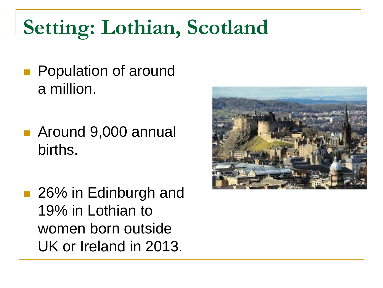# **Setting: Lothian, Scotland**

- **Population of around** a million.
- Around 9,000 annual births.
- 26% in Edinburgh and 19% in Lothian to women born outside UK or Ireland in 2013.

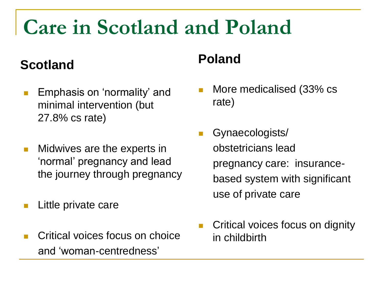### **Care in Scotland and Poland**

#### **Scotland**

- Emphasis on 'normality' and minimal intervention (but 27.8% cs rate)
- Midwives are the experts in 'normal' pregnancy and lead the journey through pregnancy
- Little private care
- Critical voices focus on choice and 'woman-centredness'

#### **Poland**

- More medicalised (33% cs rate)
- Gynaecologists/ obstetricians lead pregnancy care: insurance based system with significant use of private care
- Critical voices focus on dignity in childbirth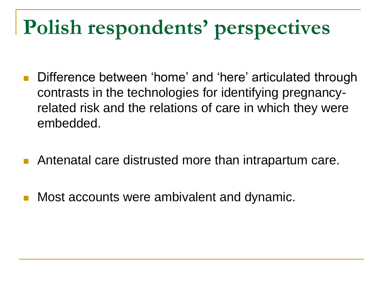# **Polish respondents' perspectives**

- Difference between 'home' and 'here' articulated through contrasts in the technologies for identifying pregnancyrelated risk and the relations of care in which they were embedded.
- Antenatal care distrusted more than intrapartum care.
- Most accounts were ambivalent and dynamic.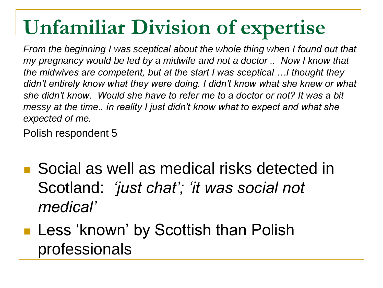# **Unfamiliar Division of expertise**

*From the beginning I was sceptical about the whole thing when I found out that my pregnancy would be led by a midwife and not a doctor .. Now I know that the midwives are competent, but at the start I was sceptical …I thought they*  didn't entirely know what they were doing. I didn't know what she knew or what *she didn't know. Would she have to refer me to a doctor or not? It was a bit messy at the time.. in reality I just didn't know what to expect and what she expected of me.*

Polish respondent 5

■ Social as well as medical risks detected in Scotland: *'just chat'; 'it was social not medical'*

#### **Less 'known' by Scottish than Polish** professionals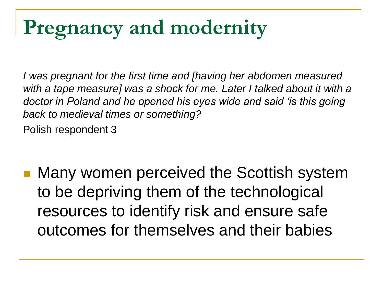### **Pregnancy and modernity**

*I was pregnant for the first time and [having her abdomen measured*  with a tape measure] was a shock for me. Later I talked about it with a *doctor in Poland and he opened his eyes wide and said 'is this going back to medieval times or something?*  Polish respondent 3

 Many women perceived the Scottish system to be depriving them of the technological resources to identify risk and ensure safe outcomes for themselves and their babies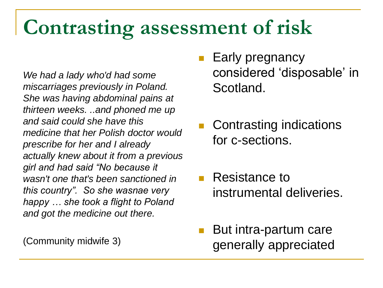### **Contrasting assessment of risk**

*We had a lady who'd had some miscarriages previously in Poland. She was having abdominal pains at thirteen weeks. ..and phoned me up and said could she have this medicine that her Polish doctor would prescribe for her and I already actually knew about it from a previous girl and had said "No because it wasn't one that's been sanctioned in this country". So she wasnae very happy … she took a flight to Poland and got the medicine out there.*

(Community midwife 3)

- Early pregnancy considered 'disposable' in Scotland.
- Contrasting indications for c-sections.
- **Resistance to** instrumental deliveries.
- But intra-partum care generally appreciated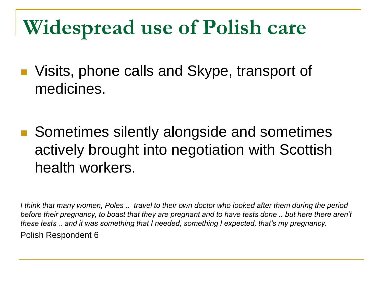### **Widespread use of Polish care**

- Visits, phone calls and Skype, transport of medicines.
- Sometimes silently alongside and sometimes actively brought into negotiation with Scottish health workers.

*I think that many women, Poles .. travel to their own doctor who looked after them during the period before their pregnancy, to boast that they are pregnant and to have tests done .. but here there aren't these tests .. and it was something that I needed, something I expected, that's my pregnancy.*  Polish Respondent 6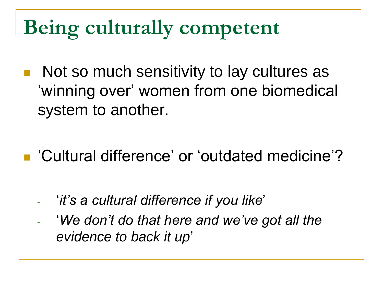### **Being culturally competent**

- Not so much sensitivity to lay cultures as 'winning over' women from one biomedical system to another.
- 'Cultural difference' or 'outdated medicine'?
	- '*it's a cultural difference if you like*'
	- '*We don't do that here and we've got all the evidence to back it up*'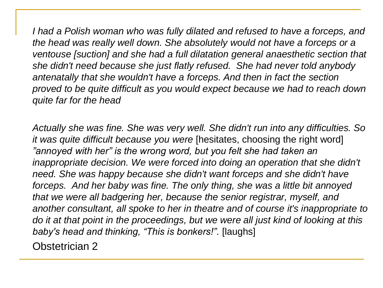*I had a Polish woman who was fully dilated and refused to have a forceps, and the head was really well down. She absolutely would not have a forceps or a ventouse [suction] and she had a full dilatation general anaesthetic section that she didn't need because she just flatly refused. She had never told anybody antenatally that she wouldn't have a forceps. And then in fact the section proved to be quite difficult as you would expect because we had to reach down quite far for the head*

*Actually she was fine. She was very well. She didn't run into any difficulties. So it was quite difficult because you were* [hesitates, choosing the right word] *"annoyed with her" is the wrong word, but you felt she had taken an inappropriate decision. We were forced into doing an operation that she didn't need. She was happy because she didn't want forceps and she didn't have forceps. And her baby was fine. The only thing, she was a little bit annoyed that we were all badgering her, because the senior registrar, myself, and another consultant, all spoke to her in theatre and of course it's inappropriate to do it at that point in the proceedings, but we were all just kind of looking at this baby's head and thinking, "This is bonkers!".* [laughs]

Obstetrician 2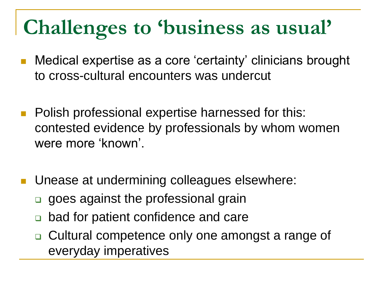# **Challenges to 'business as usual'**

- Medical expertise as a core 'certainty' clinicians brought to cross-cultural encounters was undercut
- Polish professional expertise harnessed for this: contested evidence by professionals by whom women were more 'known'.
- Unease at undermining colleagues elsewhere:
	- goes against the professional grain
	- bad for patient confidence and care
	- □ Cultural competence only one amongst a range of everyday imperatives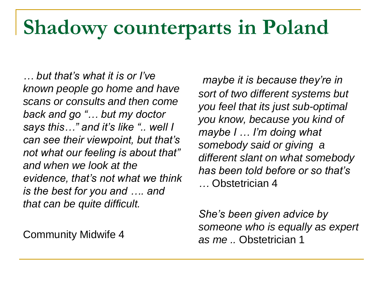### **Shadowy counterparts in Poland**

*… but that's what it is or I've known people go home and have scans or consults and then come back and go "… but my doctor says this…" and it's like ".. well I can see their viewpoint, but that's not what our feeling is about that" and when we look at the evidence, that's not what we think is the best for you and …. and that can be quite difficult.*

Community Midwife 4

*maybe it is because they're in sort of two different systems but you feel that its just sub-optimal you know, because you kind of maybe I … I'm doing what somebody said or giving a different slant on what somebody has been told before or so that's …* Obstetrician 4

*She's been given advice by someone who is equally as expert as me ..* Obstetrician 1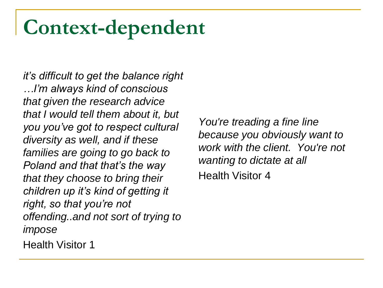### **Context-dependent**

*it's difficult to get the balance right …I'm always kind of conscious that given the research advice that I would tell them about it, but you you've got to respect cultural diversity as well, and if these families are going to go back to Poland and that that's the way that they choose to bring their children up it's kind of getting it right, so that you're not offending..and not sort of trying to impose*

*You're treading a fine line because you obviously want to work with the client. You're not wanting to dictate at all* Health Visitor 4

Health Visitor 1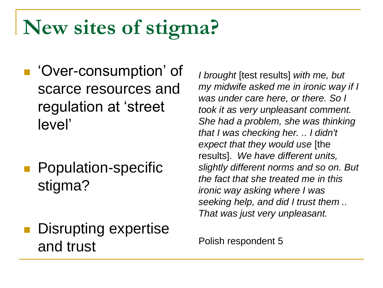# **New sites of stigma?**

- 'Over-consumption' of scarce resources and regulation at 'street level'
- **Population-specific** stigma?
- Disrupting expertise and trust

*I brought* [test results] *with me, but my midwife asked me in ironic way if I was under care here, or there. So I took it as very unpleasant comment. She had a problem, she was thinking that I was checking her. .. I didn't expect that they would use* [the results]. *We have different units, slightly different norms and so on. But the fact that she treated me in this ironic way asking where I was seeking help, and did I trust them .. That was just very unpleasant.* 

Polish respondent 5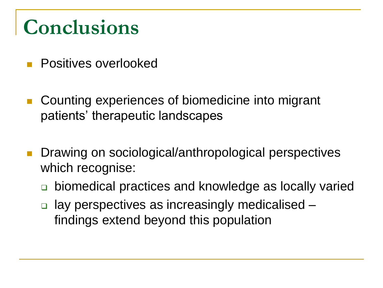### **Conclusions**

- **Positives overlooked**
- Counting experiences of biomedicine into migrant patients' therapeutic landscapes
- Drawing on sociological/anthropological perspectives which recognise:
	- biomedical practices and knowledge as locally varied
	- **□** lay perspectives as increasingly medicalised findings extend beyond this population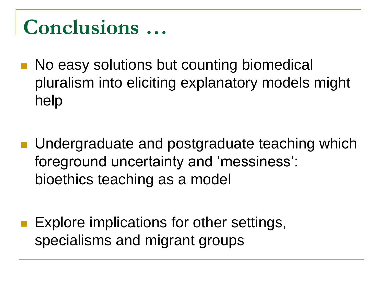### **Conclusions …**

- **No easy solutions but counting biomedical** pluralism into eliciting explanatory models might help
- **Undergraduate and postgraduate teaching which** foreground uncertainty and 'messiness': bioethics teaching as a model
- **Explore implications for other settings,** specialisms and migrant groups